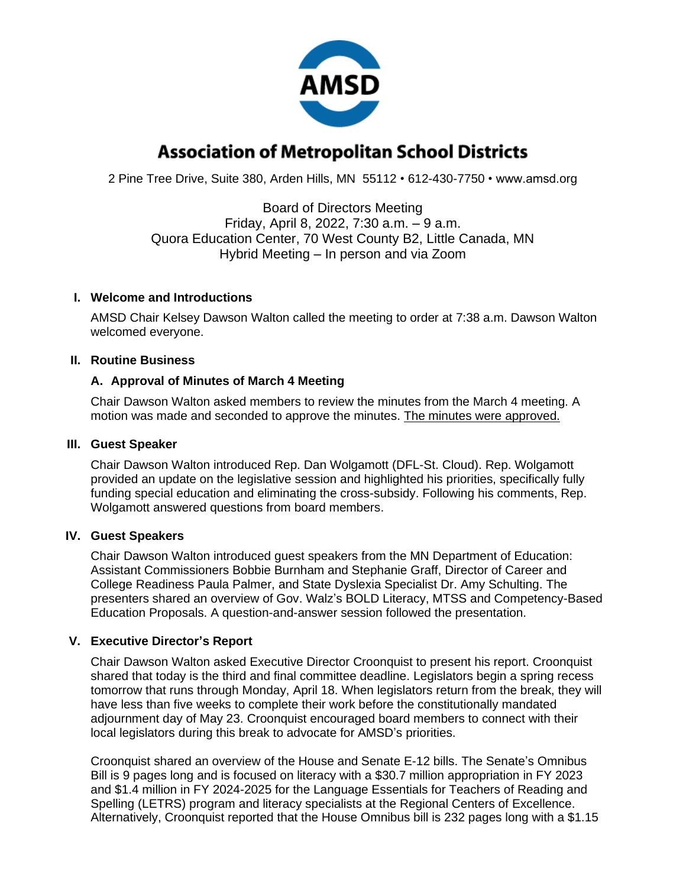

# **Association of Metropolitan School Districts**

2 Pine Tree Drive, Suite 380, Arden Hills, MN 55112 • 612-430-7750 • www.amsd.org

Board of Directors Meeting Friday, April 8, 2022, 7:30 a.m. – 9 a.m. Quora Education Center, 70 West County B2, Little Canada, MN Hybrid Meeting – In person and via Zoom

#### **I. Welcome and Introductions**

AMSD Chair Kelsey Dawson Walton called the meeting to order at 7:38 a.m. Dawson Walton welcomed everyone.

# **II. Routine Business**

# **A. Approval of Minutes of March 4 Meeting**

Chair Dawson Walton asked members to review the minutes from the March 4 meeting. A motion was made and seconded to approve the minutes. The minutes were approved.

#### **III. Guest Speaker**

Chair Dawson Walton introduced Rep. Dan Wolgamott (DFL-St. Cloud). Rep. Wolgamott provided an update on the legislative session and highlighted his priorities, specifically fully funding special education and eliminating the cross-subsidy. Following his comments, Rep. Wolgamott answered questions from board members.

#### **IV. Guest Speakers**

Chair Dawson Walton introduced guest speakers from the MN Department of Education: Assistant Commissioners Bobbie Burnham and Stephanie Graff, Director of Career and College Readiness Paula Palmer, and State Dyslexia Specialist Dr. Amy Schulting. The presenters shared an overview of Gov. Walz's BOLD Literacy, MTSS and Competency-Based Education Proposals. A question-and-answer session followed the presentation.

# **V. Executive Director's Report**

Chair Dawson Walton asked Executive Director Croonquist to present his report. Croonquist shared that today is the third and final committee deadline. Legislators begin a spring recess tomorrow that runs through Monday, April 18. When legislators return from the break, they will have less than five weeks to complete their work before the constitutionally mandated adjournment day of May 23. Croonquist encouraged board members to connect with their local legislators during this break to advocate for AMSD's priorities.

Croonquist shared an overview of the House and Senate E-12 bills. The Senate's Omnibus Bill is 9 pages long and is focused on literacy with a \$30.7 million appropriation in FY 2023 and \$1.4 million in FY 2024-2025 for the Language Essentials for Teachers of Reading and Spelling (LETRS) program and literacy specialists at the Regional Centers of Excellence. Alternatively, Croonquist reported that the House Omnibus bill is 232 pages long with a \$1.15